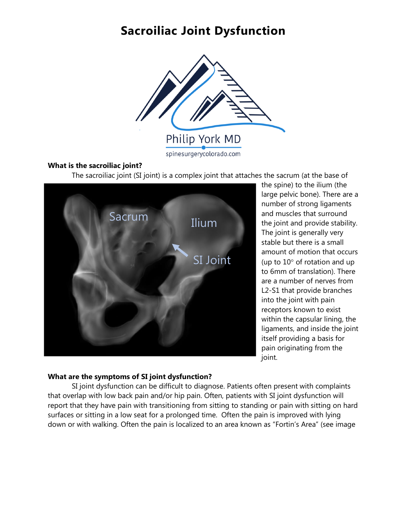## **Sacroiliac Joint Dysfunction**



#### **What is the sacroiliac joint?**

The sacroiliac joint (SI joint) is a complex joint that attaches the sacrum (at the base of



the spine) to the ilium (the large pelvic bone). There are a number of strong ligaments and muscles that surround the joint and provide stability. The joint is generally very stable but there is a small amount of motion that occurs (up to  $10^{\circ}$  of rotation and up to 6mm of translation). There are a number of nerves from L2-S1 that provide branches into the joint with pain receptors known to exist within the capsular lining, the ligaments, and inside the joint itself providing a basis for pain originating from the joint.

#### **What are the symptoms of SI joint dysfunction?**

SI joint dysfunction can be difficult to diagnose. Patients often present with complaints that overlap with low back pain and/or hip pain. Often, patients with SI joint dysfunction will report that they have pain with transitioning from sitting to standing or pain with sitting on hard surfaces or sitting in a low seat for a prolonged time. Often the pain is improved with lying down or with walking. Often the pain is localized to an area known as "Fortin's Area" (see image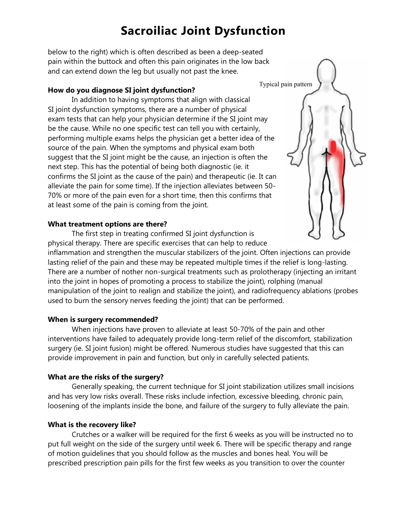# **Sacroiliac Joint Dysfunction**

below to the right) which is often described as been a deep-seated pain within the buttock and often this pain originates in the low back and can extend down the leg but usually not past the knee.

### **How do you diagnose SI joint dysfunction?**

In addition to having symptoms that align with classical SI joint dysfunction symptoms, there are a number of physical exam tests that can help your physician determine if the SI joint may be the cause. While no one specific test can tell you with certainly, performing multiple exams helps the physician get a better idea of the source of the pain. When the symptoms and physical exam both suggest that the SI joint might be the cause, an injection is often the next step. This has the potential of being both diagnostic (ie. it confirms the SI joint as the cause of the pain) and therapeutic (ie. It can alleviate the pain for some time). If the injection alleviates between 50- 70% or more of the pain even for a short time, then this confirms that at least some of the pain is coming from the joint.

#### **What treatment options are there?**

The first step in treating confirmed SI joint dysfunction is physical therapy. There are specific exercises that can help to reduce inflammation and strengthen the muscular stabilizers of the joint. Often injections can provide lasting relief of the pain and these may be repeated multiple times if the relief is long-lasting. There are a number of nother non-surgical treatments such as prolotherapy (injecting an irritant into the joint in hopes of promoting a process to stabilize the joint), rolphing (manual manipulation of the joint to realign and stabilize the joint), and radiofrequency ablations (probes used to burn the sensory nerves feeding the joint) that can be performed.

## **When is surgery recommended?**

When injections have proven to alleviate at least 50-70% of the pain and other interventions have failed to adequately provide long-term relief of the discomfort, stabilization surgery (ie. SI joint fusion) might be offered. Numerous studies have suggested that this can provide improvement in pain and function, but only in carefully selected patients.

## **What are the risks of the surgery?**

Generally speaking, the current technique for SI joint stabilization utilizes small incisions and has very low risks overall. These risks include infection, excessive bleeding, chronic pain, loosening of the implants inside the bone, and failure of the surgery to fully alleviate the pain.

## **What is the recovery like?**

Crutches or a walker will be required for the first 6 weeks as you will be instructed no to put full weight on the side of the surgery until week 6. There will be specific therapy and range of motion guidelines that you should follow as the muscles and bones heal. You will be prescribed prescription pain pills for the first few weeks as you transition to over the counter